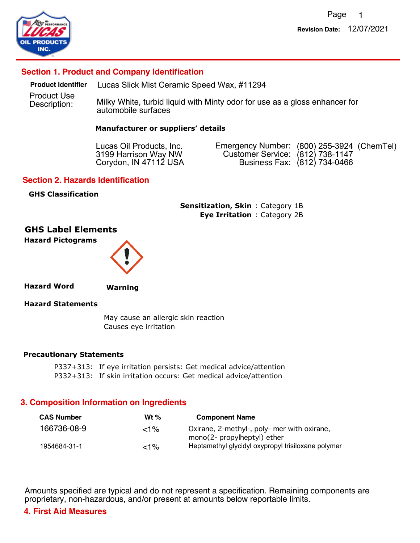

# **Section 1. Product and Company Identification**

Product Use **Product Identifier** Lucas Slick Mist Ceramic Speed Wax, #11294

Description: Milky White, turbid liquid with Minty odor for use as a gloss enhancer for automobile surfaces

#### **Manufacturer or suppliers' details**

Lucas Oil Products, Inc. 3199 Harrison Way NW Corydon, IN 47112 USA Emergency Number: (800) 255-3924 (ChemTel) Customer Service: (812) 738-1147 (812) 734-0466 Business Fax:

#### **Section 2. Hazards Identification**

#### **GHS Classification**

**Sensitization, Skin:** Category 1B **Eye Irritation** : Category 2B

### **GHS Label Elements Hazard Pictograms**



**Hazard Word**

**Warning**

#### **Hazard Statements**

 May cause an allergic skin reaction Causes eye irritation

#### **Precautionary Statements**

P337+313: If eye irritation persists: Get medical advice/attention P332+313: If skin irritation occurs: Get medical advice/attention

### **3. Composition Information on Ingredients**

| <b>CAS Number</b> | Wt $%$ | <b>Component Name</b>                                                             |  |
|-------------------|--------|-----------------------------------------------------------------------------------|--|
| 166736-08-9       | $<$ 1% | Oxirane, 2-methyl-, poly- mer with oxirane,                                       |  |
| 1954684-31-1      | $<$ 1% | mono(2- propylheptyl) ether<br>Heptamethyl glycidyl oxypropyl trisiloxane polymer |  |

Amounts specified are typical and do not represent a specification. Remaining components are proprietary, non-hazardous, and/or present at amounts below reportable limits.

### **4. First Aid Measures**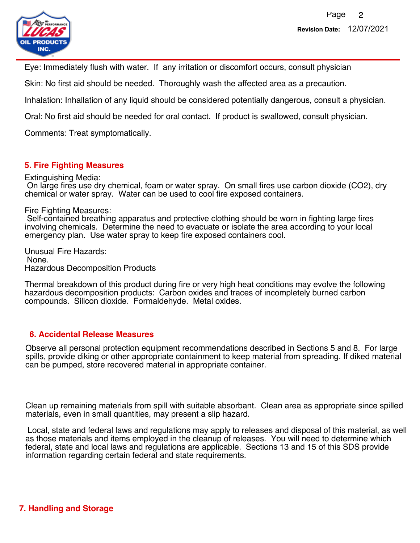

Eye: Immediately flush with water. If any irritation or discomfort occurs, consult physician

Skin: No first aid should be needed. Thoroughly wash the affected area as a precaution.

Inhalation: Inhallation of any liquid should be considered potentially dangerous, consult a physician.

Oral: No first aid should be needed for oral contact. If product is swallowed, consult physician.

Comments: Treat symptomatically.

# **5. Fire Fighting Measures**

Extinguishing Media:

 On large fires use dry chemical, foam or water spray. On small fires use carbon dioxide (CO2), dry chemical or water spray. Water can be used to cool fire exposed containers.

### Fire Fighting Measures:

 Self-contained breathing apparatus and protective clothing should be worn in fighting large fires involving chemicals. Determine the need to evacuate or isolate the area according to your local emergency plan. Use water spray to keep fire exposed containers cool.

Unusual Fire Hazards: None. Hazardous Decomposition Products

Thermal breakdown of this product during fire or very high heat conditions may evolve the following hazardous decomposition products: Carbon oxides and traces of incompletely burned carbon compounds. Silicon dioxide. Formaldehyde. Metal oxides.

## **6. Accidental Release Measures**

Observe all personal protection equipment recommendations described in Sections 5 and 8. For large spills, provide diking or other appropriate containment to keep material from spreading. If diked material can be pumped, store recovered material in appropriate container.

Clean up remaining materials from spill with suitable absorbant. Clean area as appropriate since spilled materials, even in small quantities, may present a slip hazard.

 Local, state and federal laws and regulations may apply to releases and disposal of this material, as well as those materials and items employed in the cleanup of releases. You will need to determine which federal, state and local laws and regulations are applicable. Sections 13 and 15 of this SDS provide information regarding certain federal and state requirements.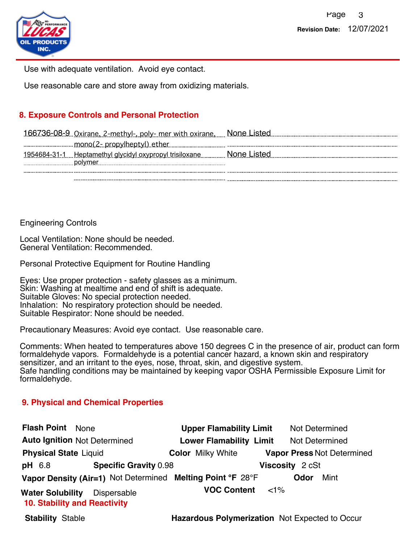

Use with adequate ventilation. Avoid eye contact.

Use reasonable care and store away from oxidizing materials.

# **8. Exposure Controls and Personal Protection**

| <u>166736-08-9 Oxirane, 2-methyl-, poly- mer with oxirane, Mone Listed Communicum Consumers Communicum Communicum</u> |
|-----------------------------------------------------------------------------------------------------------------------|
|                                                                                                                       |
| :None L<br><u>. Heptamethyl glycidyl oxypropyl trisiloxane.</u>                                                       |
|                                                                                                                       |

Engineering Controls

Local Ventilation: None should be needed. General Ventilation: Recommended.

Personal Protective Equipment for Routine Handling

Eyes: Use proper protection - safety glasses as a minimum. Skin: Washing at mealtime and end of shift is adequate. Suitable Gloves: No special protection needed. Inhalation: No respiratory protection should be needed. Suitable Respirator: None should be needed.

Precautionary Measures: Avoid eye contact. Use reasonable care.

Comments: When heated to temperatures above 150 degrees C in the presence of air, product can form formaldehyde vapors. Formaldehyde is a potential cancer hazard, a known skin and respiratory sensitizer, and an irritant to the eyes, nose, throat, skin, and digestive system. Safe handling conditions may be maintained by keeping vapor OSHA Permissible Exposure Limit for formaldehyde.

## **9. Physical and Chemical Properties**

| <b>Flash Point</b> None                                        |                              | <b>Upper Flamability Limit</b>                             |        | <b>Not Determined</b> |                                   |
|----------------------------------------------------------------|------------------------------|------------------------------------------------------------|--------|-----------------------|-----------------------------------|
| <b>Auto Ignition Not Determined</b>                            |                              | <b>Lower Flamability Limit</b>                             |        | <b>Not Determined</b> |                                   |
| <b>Physical State Liquid</b>                                   |                              | <b>Color Milky White</b>                                   |        |                       | <b>Vapor Press Not Determined</b> |
| <b>pH</b> 6.8                                                  | <b>Specific Gravity 0.98</b> |                                                            |        | Viscosity 2 cSt       |                                   |
|                                                                |                              | Vapor Density (Air=1) Not Determined Melting Point °F 28°F |        | <b>Odor</b>           | Mint                              |
| <b>Water Solubility</b><br><b>10. Stability and Reactivity</b> | Dispersable                  | <b>VOC Content</b>                                         | $<$ 1% |                       |                                   |
| <b>Stability Stable</b>                                        |                              | <b>Hazardous Polymerization</b> Not Expected to Occur      |        |                       |                                   |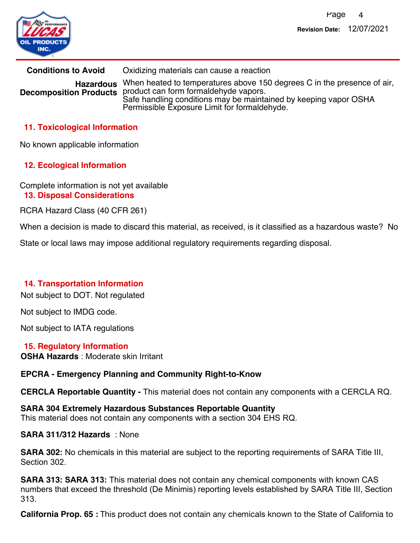

**Conditions to Avoid** Oxidizing materials can cause a reaction Hazardous When heated to temperatures above 150 degrees C in the presence of air, **Decomposition Products** product can form formaldehyde vapors. Safe handling conditions may be maintained by keeping vapor OSHA Permissible Exposure Limit for formaldehyde.

# **11. Toxicological Information**

No known applicable information

# **12. Ecological Information**

Complete information is not yet available **13. Disposal Considerations**

RCRA Hazard Class (40 CFR 261)

When a decision is made to discard this material, as received, is it classified as a hazardous waste? No

State or local laws may impose additional regulatory requirements regarding disposal.

## **14. Transportation Information**

Not subject to DOT. Not regulated

Not subject to IMDG code.

Not subject to IATA regulations

**OSHA Hazards** : Moderate skin Irritant **15. Regulatory Information**

## **EPCRA - Emergency Planning and Community Right-to-Know**

**CERCLA Reportable Quantity -** This material does not contain any components with a CERCLA RQ.

**SARA 304 Extremely Hazardous Substances Reportable Quantity** This material does not contain any components with a section 304 EHS RQ.

### **SARA 311/312 Hazards** : None

**SARA 302:** No chemicals in this material are subject to the reporting requirements of SARA Title III, Section 302.

**SARA 313: SARA 313:** This material does not contain any chemical components with known CAS numbers that exceed the threshold (De Minimis) reporting levels established by SARA Title III, Section 313.

**California Prop. 65 :** This product does not contain any chemicals known to the State of California to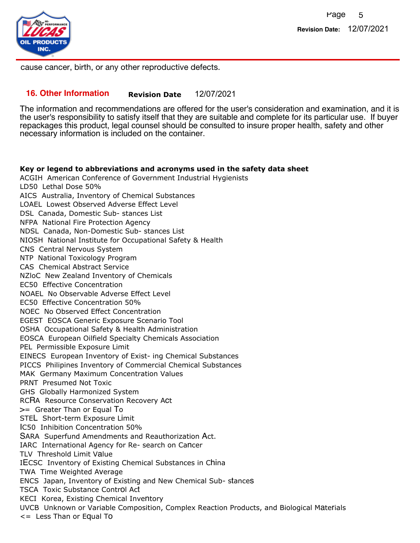

cause cancer, birth, or any other reproductive defects.

### **16. Other Information Revision Date** 12/07/2021

The information and recommendations are offered for the user's consideration and examination, and it is the user's responsibility to satisfy itself that they are suitable and complete for its particular use. If buyer repackages this product, legal counsel should be consulted to insure proper health, safety and other necessary information is included on the container.

#### **Key or legend to abbreviations and acronyms used in the safety data sheet**

ACGIH American Conference of Government Industrial Hygienists LD50 Lethal Dose 50% AICS Australia, Inventory of Chemical Substances LOAEL Lowest Observed Adverse Effect Level DSL Canada, Domestic Sub- stances List NFPA National Fire Protection Agency NDSL Canada, Non-Domestic Sub- stances List NIOSH National Institute for Occupational Safety & Health CNS Central Nervous System NTP National Toxicology Program CAS Chemical Abstract Service NZloC New Zealand Inventory of Chemicals EC50 Effective Concentration NOAEL No Observable Adverse Effect Level EC50 Effective Concentration 50% NOEC No Observed Effect Concentration EGEST EOSCA Generic Exposure Scenario Tool OSHA Occupational Safety & Health Administration EOSCA European Oilfield Specialty Chemicals Association PEL Permissible Exposure Limit EINECS European Inventory of Exist- ing Chemical Substances PICCS Philipines Inventory of Commercial Chemical Substances MAK Germany Maximum Concentration Values PRNT Presumed Not Toxic GHS Globally Harmonized System RCRA Resource Conservation Recovery Act >= Greater Than or Equal To STEL Short-term Exposure Limit IC50 Inhibition Concentration 50% SARA Superfund Amendments and Reauthorization Act. IARC International Agency for Re- search on Cancer TLV Threshold Limit Value IECSC Inventory of Existing Chemical Substances in China TWA Time Weighted Average ENCS Japan, Inventory of Existing and New Chemical Sub- stances TSCA Toxic Substance Control Act KECI Korea, Existing Chemical Inventory UVCB Unknown or Variable Composition, Complex Reaction Products, and Biological Materials <= Less Than or Equal To